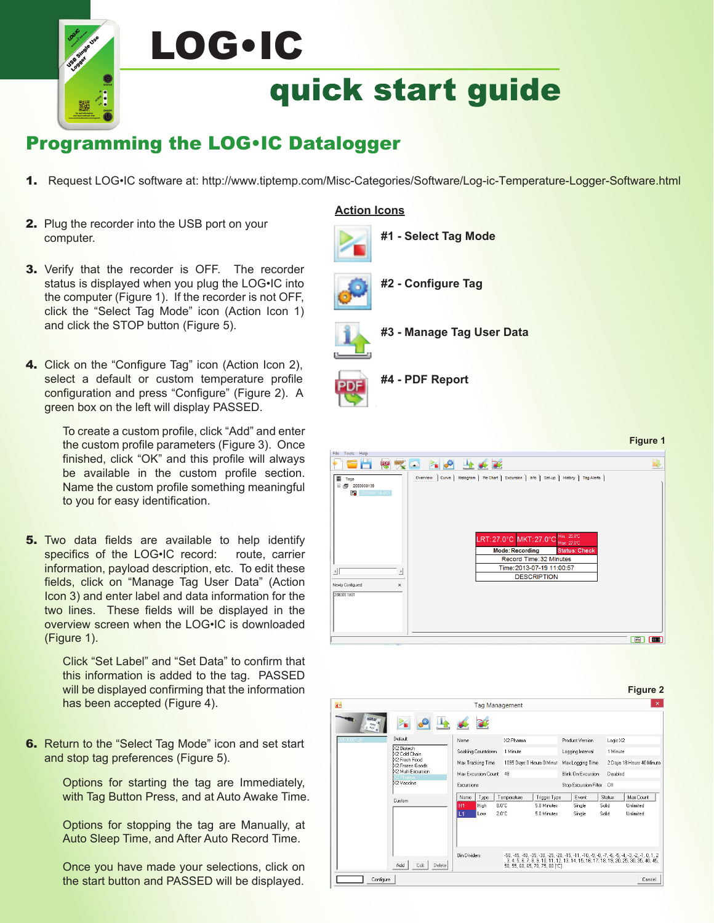## LOG•ICquick start guide

## Programming the LOG•IC Datalogger

- 1. Request LOG•IC software at: http://www.tiptemp.com/Misc-Categories/Software/Log-ic-Temperature-Logger-Software.html
- 2. Plug the recorder into the USB port on your computer.
- **3.** Verify that the recorder is OFF. The recorder status is displayed when you plug the LOG•IC into the computer (Figure 1). If the recorder is not OFF, click the "Select Tag Mode" icon (Action Icon 1) and click the STOP button (Figure 5).
- 4. Click on the "Configure Tag" icon (Action Icon 2), select a default or custom temperature profile configuration and press "Configure" (Figure 2). A green box on the left will display PASSED.

To create a custom profile, click "Add" and enter the custom profile parameters (Figure 3). Once finished, click "OK" and this profile will always be available in the custom profile section. Name the custom profile something meaningful to you for easy identification.

**5.** Two data fields are available to help identify specifics of the LOG•IC record: route, carrier information, payload description, etc. To edit these fields, click on "Manage Tag User Data" (Action Icon 3) and enter label and data information for the two lines. These fields will be displayed in the overview screen when the LOG•IC is downloaded (Figure 1).

> Click "Set Label" and "Set Data" to confirm that this information is added to the tag. PASSED will be displayed confirming that the information has been accepted (Figure 4).

**6.** Return to the "Select Tag Mode" icon and set start and stop tag preferences (Figure 5).

> Options for starting the tag are Immediately, with Tag Button Press, and at Auto Awake Time.

Options for stopping the tag are Manually, at Auto Sleep Time, and After Auto Record Time.

Once you have made your selections, click on the start button and PASSED will be displayed.

#### **Action Icons**



- **#2 Configure Tag**
- **#3 Manage Tag User Data**







**Figure 1**

### **Figure 2**